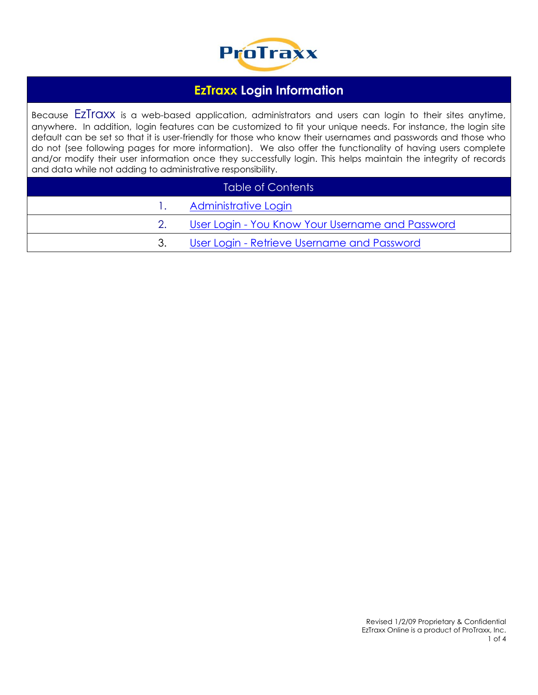

## **EzTraxx Login Information**

Because EZTraxx is a web-based application, administrators and users can login to their sites anytime, anywhere. In addition, login features can be customized to fit your unique needs. For instance, the login site default can be set so that it is user-friendly for those who know their usernames and passwords and those who do not (see following pages for more information). We also offer the functionality of having users complete and/or modify their user information once they successfully login. This helps maintain the integrity of records and data while not adding to administrative responsibility.

| Table of Contents |                                                  |  |  |
|-------------------|--------------------------------------------------|--|--|
|                   | Administrative Login                             |  |  |
|                   | User Login - You Know Your Username and Password |  |  |
| 3.                | User Login - Retrieve Username and Password      |  |  |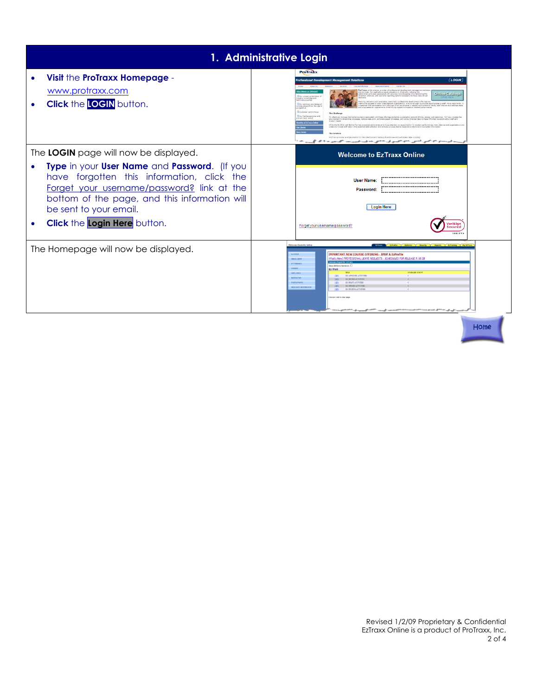<span id="page-1-0"></span>

| 1. Administrative Login                                                                                                                                                                                                                                                                      |                                                                                                                                                                                                                                                                                                                                                                                                                                                                                                                                                                                                                                                                                                                                                                                                                                                                                                                                                                                                                                                                                                                                                                                                                                                                                                                                                                                                                                                                                                                                                                                                                                                                                                                                                                                                                                                                                                            |  |  |  |
|----------------------------------------------------------------------------------------------------------------------------------------------------------------------------------------------------------------------------------------------------------------------------------------------|------------------------------------------------------------------------------------------------------------------------------------------------------------------------------------------------------------------------------------------------------------------------------------------------------------------------------------------------------------------------------------------------------------------------------------------------------------------------------------------------------------------------------------------------------------------------------------------------------------------------------------------------------------------------------------------------------------------------------------------------------------------------------------------------------------------------------------------------------------------------------------------------------------------------------------------------------------------------------------------------------------------------------------------------------------------------------------------------------------------------------------------------------------------------------------------------------------------------------------------------------------------------------------------------------------------------------------------------------------------------------------------------------------------------------------------------------------------------------------------------------------------------------------------------------------------------------------------------------------------------------------------------------------------------------------------------------------------------------------------------------------------------------------------------------------------------------------------------------------------------------------------------------------|--|--|--|
| Visit the ProTraxx Homepage -<br>www.protraxx.com<br><b>Click the LOGIN button.</b>                                                                                                                                                                                                          | <b>ProTraxx</b><br><b>LOGIN</b><br><b>ofessional Development Management Solution</b><br>reTraxx is the premier provider of professional development menagement solut<br>of services. Our applications assist educators in dramically reducing the<br>Iministrative burden associated with appurate recordisesping while faci<br>Online Catalogs<br><b>Collar under combination</b> of<br>clion, analysis, and real-time reporting options necessary to make data-drive<br><b>Click Hor</b><br>ndustry knowledge and<br><b>Bour solutions are designs</b><br>al to the success of today's educational prostigations. It is not enough to provide poportunities to staff. Hore importantly,<br>that that participation is in offerings vihich are diverse in subject and content to setaty staff interest and eddings state<br>and developed from the us<br>tive inpect on student performanc<br>ante ultila hauten a reu<br>erspective<br><b>Courses centre</b> faque<br><b>Cour held superiance and</b><br>To effectively meneze the numerous tests associated with these offerings demands a substantial amount of time, anargy and res<br>ques track record<br>sent to streamline processes, reduce data entry, eliminate paper processes, and utilize collected data to make informed decisions about staff and<br>student needs<br>sells of Erlinux Only<br>While the No Child Left Behind Act has prompted edministrators to focus attention on accountability for student performance, many districts and proenizations an<br>rable to include staff data in the expertise data collection and analysis process due to disperate systems and incomplete inform<br>The Salution<br>ProTrace provides a single solution for the collection and tracking of employee and participant data including<br>இப்போர்க்க அவர்கி <sup>ற</sup> ்கையாகி வாக்கும், அவர்க் ஆட்டுக்கும் ஆவர்.<br>with the ground and |  |  |  |
| The LOGIN page will now be displayed.<br>Type in your User Name and Password. (If you<br>have forgotten this information, click the<br>Forget your username/password? link at the<br>bottom of the page, and this information will<br>be sent to your email.<br>Click the Login Here button. | <b>Welcome to EzTraxx Online</b><br><b>User Name:</b><br>Password:<br><b>Login Here</b><br>eriSign<br>Forget your username/password?<br>ecured<br>VERIEY                                                                                                                                                                                                                                                                                                                                                                                                                                                                                                                                                                                                                                                                                                                                                                                                                                                                                                                                                                                                                                                                                                                                                                                                                                                                                                                                                                                                                                                                                                                                                                                                                                                                                                                                                   |  |  |  |
| The Homepage will now be displayed.                                                                                                                                                                                                                                                          | <b>Nelcome Danielle Salina</b><br>Extrasa C Exfiredite   Exhibition   Security   Reports<br><b>ACTIVITY</b><br><b>IMPORTANT NEW COURSE OFFERING - IPDP &amp; EzProfile</b><br>What's New? PROFESSIONAL LEAVE REQUESTS - SCHEDULED FOR RELEASE 9/18/0<br><b>DIROLLMEN</b><br>ATTENDANI<br><b>Brow All Work Summary</b><br><b>ATTAINST</b><br>My Work<br><b>SUMMARY COUN</b><br>EMPLOYEE<br>MY APPROVED ACTIVITIES<br><b>MIX</b><br><b>HATRICTOR</b><br>MY DEVIED ACTIVITIES<br><b>PARTICIPANTS</b><br>MY DRAFT ACTIVITIES<br><b>ATEM</b><br>MY OPENED ACTIVITIES<br><b>ATEN</b><br><b>HERCHART INFORMAT</b><br><b>MEW</b><br>MY PEODIO ACTIVITY<br>Click on Link to view page<br>in the second company of the second company of the company of the company of the company of the company of the company of the company of the company of the company of the company of the company of the company of the compan                                                                                                                                                                                                                                                                                                                                                                                                                                                                                                                                                                                                                                                                                                                                                                                                                                                                                                                                                                                             |  |  |  |

Home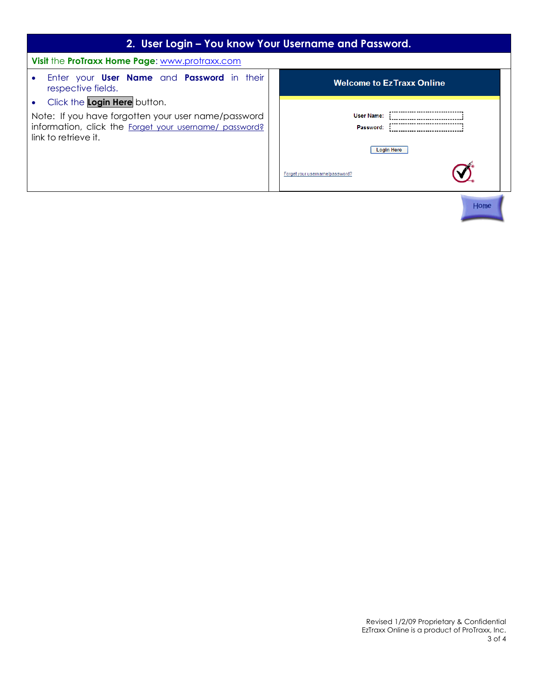<span id="page-2-0"></span>

| 2. User Login - You know Your Username and Password.                                                                                                                               |  |                                                                                       |  |  |  |
|------------------------------------------------------------------------------------------------------------------------------------------------------------------------------------|--|---------------------------------------------------------------------------------------|--|--|--|
| Visit the ProTraxx Home Page: www.protraxx.com                                                                                                                                     |  |                                                                                       |  |  |  |
| Enter your <b>User Name</b> and <b>Password</b> in their<br>$\bullet$<br>respective fields.                                                                                        |  | <b>Welcome to EzTraxx Online</b>                                                      |  |  |  |
| Click the Login Here button.<br>$\bullet$<br>Note: If you have forgotten your user name/password<br>information, click the Forget your username/ password?<br>link to retrieve it. |  | <b>User Name:</b><br>Password:<br><b>Login Here</b><br>Forget your username/password? |  |  |  |
|                                                                                                                                                                                    |  | Home                                                                                  |  |  |  |